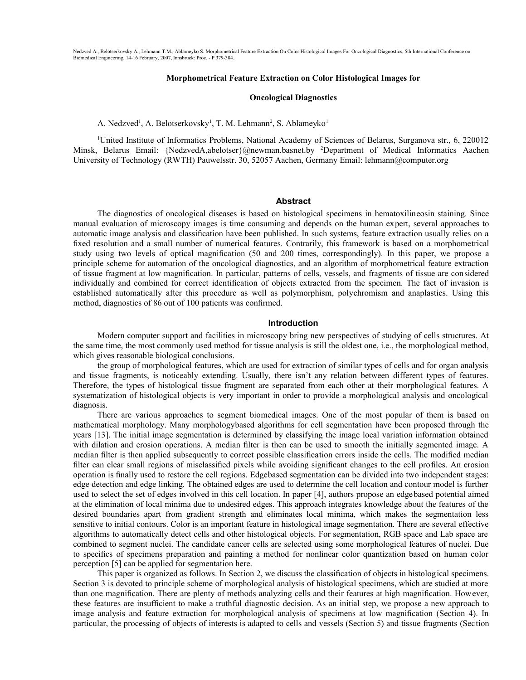### **Morphometrical Feature Extraction on Color Histological Images for**

### **Oncological Diagnostics**

A. Nedzved<sup>1</sup>, A. Belotserkovsky<sup>1</sup>, T. M. Lehmann<sup>2</sup>, S. Ablameyko<sup>1</sup>

<sup>1</sup>United Institute of Informatics Problems, National Academy of Sciences of Belarus, Surganova str., 6, 220012 Minsk, Belarus Email: {NedzvedA,abelotser}@newman.basnet.by <sup>2</sup>Department of Medical Informatics Aachen University of Technology (RWTH) Pauwelsstr. 30, 52057 Aachen, Germany Email: lehmann@computer.org

#### **Abstract**

The diagnostics of oncological diseases is based on histological specimens in hematoxilineosin staining. Since manual evaluation of microscopy images is time consuming and depends on the human expert, several approaches to automatic image analysis and classification have been published. In such systems, feature extraction usually relies on a fixed resolution and a small number of numerical features. Contrarily, this framework is based on a morphometrical study using two levels of optical magnification (50 and 200 times, correspondingly). In this paper, we propose a principle scheme for automation of the oncological diagnostics, and an algorithm of morphometrical feature extraction of tissue fragment at low magnification. In particular, patterns of cells, vessels, and fragments of tissue are considered individually and combined for correct identification of objects extracted from the specimen. The fact of invasion is established automatically after this procedure as well as polymorphism, polychromism and anaplastics. Using this method, diagnostics of 86 out of 100 patients was confirmed.

### **Introduction**

Modern computer support and facilities in microscopy bring new perspectives of studying of cells structures. At the same time, the most commonly used method for tissue analysis is still the oldest one, i.e., the morphological method, which gives reasonable biological conclusions.

the group of morphological features, which are used for extraction of similar types of cells and for organ analysis and tissue fragments, is noticeably extending. Usually, there isn't any relation between different types of features. Therefore, the types of histological tissue fragment are separated from each other at their morphological features. A systematization of histological objects is very important in order to provide a morphological analysis and oncological diagnosis.

There are various approaches to segment biomedical images. One of the most popular of them is based on mathematical morphology. Many morphologybased algorithms for cell segmentation have been proposed through the years [13]. The initial image segmentation is determined by classifying the image local variation information obtained with dilation and erosion operations. A median filter is then can be used to smooth the initially segmented image. A median filter is then applied subsequently to correct possible classification errors inside the cells. The modified median filter can clear small regions of misclassified pixels while avoiding significant changes to the cell profiles. An erosion operation is finally used to restore the cell regions. Edgebased segmentation can be divided into two independent stages: edge detection and edge linking. The obtained edges are used to determine the cell location and contour model is further used to select the set of edges involved in this cell location. In paper [4], authors propose an edgebased potential aimed at the elimination of local minima due to undesired edges. This approach integrates knowledge about the features of the desired boundaries apart from gradient strength and eliminates local minima, which makes the segmentation less sensitive to initial contours. Color is an important feature in histological image segmentation. There are several effective algorithms to automatically detect cells and other histological objects. For segmentation, RGB space and Lab space are combined to segment nuclei. The candidate cancer cells are selected using some morphological features of nuclei. Due to specifics of specimens preparation and painting a method for nonlinear color quantization based on human color perception [5] can be applied for segmentation here.

This paper is organized as follows. In Section 2, we discuss the classification of objects in histological specimens. Section 3 is devoted to principle scheme of morphological analysis of histological specimens, which are studied at more than one magnification. There are plenty of methods analyzing cells and their features at high magnification. However, these features are insufficient to make a truthful diagnostic decision. As an initial step, we propose a new approach to image analysis and feature extraction for morphological analysis of specimens at low magnification (Section 4). In particular, the processing of objects of interests is adapted to cells and vessels (Section 5) and tissue fragments (Section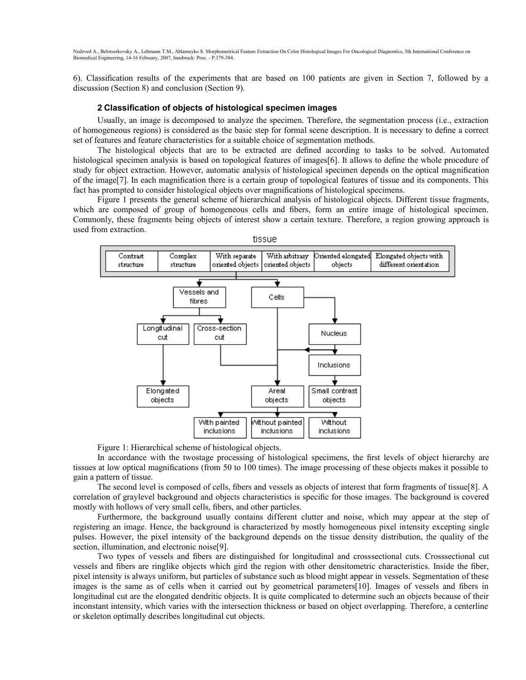6). Classification results of the experiments that are based on 100 patients are given in Section 7, followed by a discussion (Section 8) and conclusion (Section 9).

## **2 Classification of objects of histological specimen images**

Usually, an image is decomposed to analyze the specimen. Therefore, the segmentation process (i.e., extraction of homogeneous regions) is considered as the basic step for formal scene description. It is necessary to define a correct set of features and feature characteristics for a suitable choice of segmentation methods.

The histological objects that are to be extracted are defined according to tasks to be solved. Automated histological specimen analysis is based on topological features of images[6]. It allows to define the whole procedure of study for object extraction. However, automatic analysis of histological specimen depends on the optical magnification of the image[7]. In each magnification there is a certain group of topological features of tissue and its components. This fact has prompted to consider histological objects over magnifications of histological specimens.

Figure 1 presents the general scheme of hierarchical analysis of histological objects. Different tissue fragments, which are composed of group of homogeneous cells and fibers, form an entire image of histological specimen. Commonly, these fragments being objects of interest show a certain texture. Therefore, a region growing approach is used from extraction.



Figure 1: Hierarchical scheme of histological objects.

In accordance with the twostage processing of histological specimens, the first levels of object hierarchy are tissues at low optical magnifications (from 50 to 100 times). The image processing of these objects makes it possible to gain a pattern of tissue.

The second level is composed of cells, fibers and vessels as objects of interest that form fragments of tissue[8]. A correlation of graylevel background and objects characteristics is specific for those images. The background is covered mostly with hollows of very small cells, fibers, and other particles.

Furthermore, the background usually contains different clutter and noise, which may appear at the step of registering an image. Hence, the background is characterized by mostly homogeneous pixel intensity excepting single pulses. However, the pixel intensity of the background depends on the tissue density distribution, the quality of the section, illumination, and electronic noise[9].

Two types of vessels and fibers are distinguished for longitudinal and crosssectional cuts. Crosssectional cut vessels and fibers are ringlike objects which gird the region with other densitometric characteristics. Inside the fiber, pixel intensity is always uniform, but particles of substance such as blood might appear in vessels. Segmentation of these images is the same as of cells when it carried out by geometrical parameters[10]. Images of vessels and fibers in longitudinal cut are the elongated dendritic objects. It is quite complicated to determine such an objects because of their inconstant intensity, which varies with the intersection thickness or based on object overlapping. Therefore, a centerline or skeleton optimally describes longitudinal cut objects.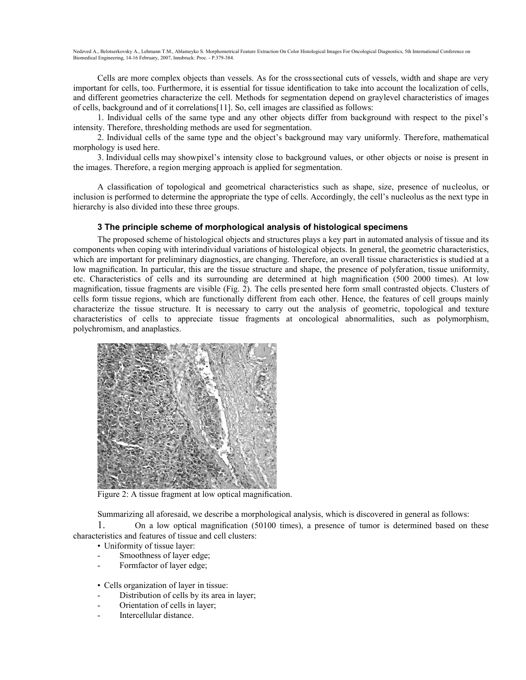Cells are more complex objects than vessels. As for the crosssectional cuts of vessels, width and shape are very important for cells, too. Furthermore, it is essential for tissue identification to take into account the localization of cells, and different geometries characterize the cell. Methods for segmentation depend on graylevel characteristics of images of cells, background and of it correlations[11]. So, cell images are classified as follows:

1. Individual cells of the same type and any other objects differ from background with respect to the pixel's intensity. Therefore, thresholding methods are used for segmentation.

2. Individual cells of the same type and the object's background may vary uniformly. Therefore, mathematical morphology is used here.

3. Individual cells may showpixel's intensity close to background values, or other objects or noise is present in the images. Therefore, a region merging approach is applied for segmentation.

A classification of topological and geometrical characteristics such as shape, size, presence of nucleolus, or inclusion is performed to determine the appropriate the type of cells. Accordingly, the cell's nucleolus as the next type in hierarchy is also divided into these three groups.

## **3 The principle scheme of morphological analysis of histological specimens**

The proposed scheme of histological objects and structures plays a key part in automated analysis of tissue and its components when coping with interindividual variations of histological objects. In general, the geometric characteristics, which are important for preliminary diagnostics, are changing. Therefore, an overall tissue characteristics is studied at a low magnification. In particular, this are the tissue structure and shape, the presence of polyferation, tissue uniformity, etc. Characteristics of cells and its surrounding are determined at high magnification (500 2000 times). At low magnification, tissue fragments are visible (Fig. 2). The cells presented here form small contrasted objects. Clusters of cells form tissue regions, which are functionally different from each other. Hence, the features of cell groups mainly characterize the tissue structure. It is necessary to carry out the analysis of geometric, topological and texture characteristics of cells to appreciate tissue fragments at oncological abnormalities, such as polymorphism, polychromism, and anaplastics.



Figure 2: A tissue fragment at low optical magnification.

Summarizing all aforesaid, we describe a morphological analysis, which is discovered in general as follows:

1. On a low optical magnification (50100 times), a presence of tumor is determined based on these characteristics and features of tissue and cell clusters:

• Uniformity of tissue layer:

- Smoothness of layer edge;
- Formfactor of layer edge;
- Cells organization of layer in tissue:
- Distribution of cells by its area in layer;
- Orientation of cells in layer;
- Intercellular distance.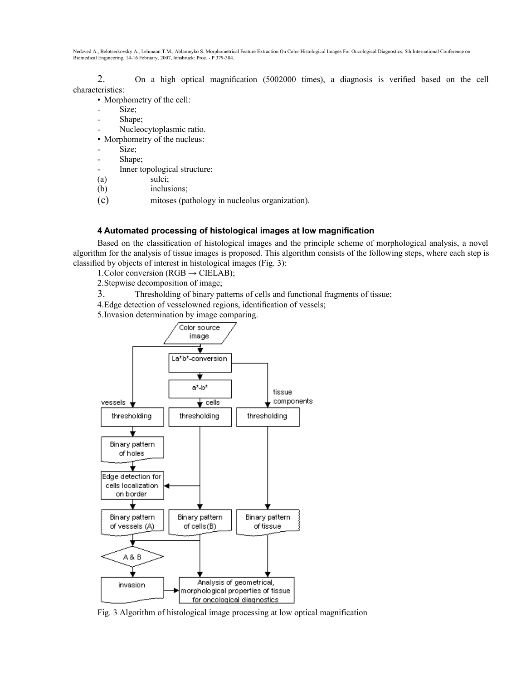2. On a high optical magnification (5002000 times), a diagnosis is verified based on the cell characteristics:

- Morphometry of the cell:
- Size;
- Shape;
- Nucleocytoplasmic ratio.
- Morphometry of the nucleus:
- Size;
- Shape;
- Inner topological structure:
- (a) sulci;
- (b) inclusions;
- (c) mitoses (pathology in nucleolus organization).

# **4 Automated processing of histological images at low magnification**

Based on the classification of histological images and the principle scheme of morphological analysis, a novel algorithm for the analysis of tissue images is proposed. This algorithm consists of the following steps, where each step is classified by objects of interest in histological images (Fig. 3):

1. Color conversion ( $RGB \rightarrow$  CIELAB);

2.Stepwise decomposition of image;

3. Thresholding of binary patterns of cells and functional fragments of tissue;

4.Edge detection of vesselowned regions, identification of vessels;

5.Invasion determination by image comparing.



Fig. 3 Algorithm of histological image processing at low optical magnification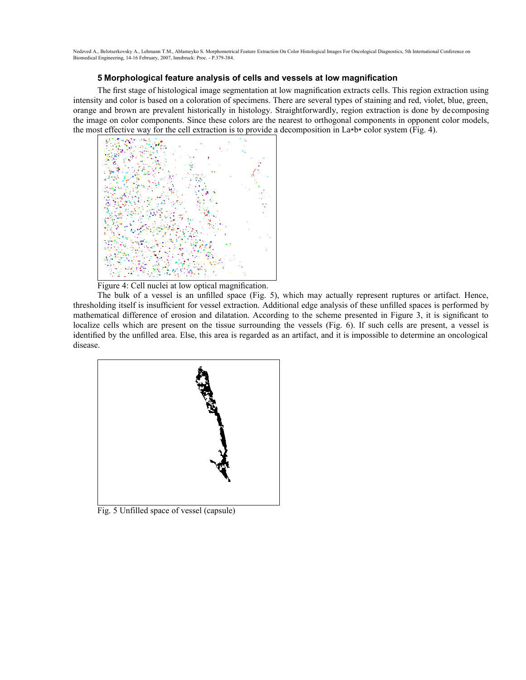# **5 Morphological feature analysis of cells and vessels at low magnification**

The first stage of histological image segmentation at low magnification extracts cells. This region extraction using intensity and color is based on a coloration of specimens. There are several types of staining and red, violet, blue, green, orange and brown are prevalent historically in histology. Straightforwardly, region extraction is done by decomposing the image on color components. Since these colors are the nearest to orthogonal components in opponent color models, the most effective way for the cell extraction is to provide a decomposition in La∗b∗ color system (Fig. 4).



Figure 4: Cell nuclei at low optical magnification.

The bulk of a vessel is an unfilled space (Fig. 5), which may actually represent ruptures or artifact. Hence, thresholding itself is insufficient for vessel extraction. Additional edge analysis of these unfilled spaces is performed by mathematical difference of erosion and dilatation. According to the scheme presented in Figure 3, it is significant to localize cells which are present on the tissue surrounding the vessels (Fig. 6). If such cells are present, a vessel is identified by the unfilled area. Else, this area is regarded as an artifact, and it is impossible to determine an oncological disease.



Fig. 5 Unfilled space of vessel (capsule)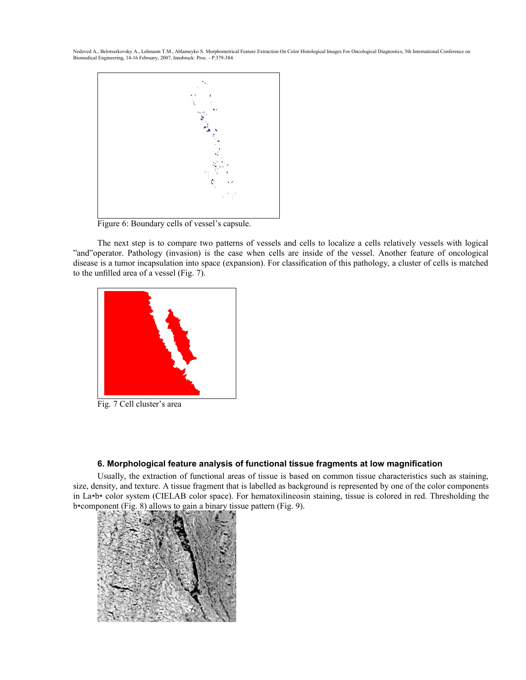

Figure 6: Boundary cells of vessel's capsule.

The next step is to compare two patterns of vessels and cells to localize a cells relatively vessels with logical "and"operator. Pathology (invasion) is the case when cells are inside of the vessel. Another feature of oncological disease is a tumor incapsulation into space (expansion). For classification of this pathology, a cluster of cells is matched to the unfilled area of a vessel (Fig. 7).



Fig. 7 Cell cluster's area

# **6. Morphological feature analysis of functional tissue fragments at low magnification**

Usually, the extraction of functional areas of tissue is based on common tissue characteristics such as staining, size, density, and texture. A tissue fragment that is labelled as background is represented by one of the color components in La∗b∗ color system (CIELAB color space). For hematoxilineosin staining, tissue is colored in red. Thresholding the b∗component (Fig. 8) allows to gain a binary tissue pattern (Fig. 9).

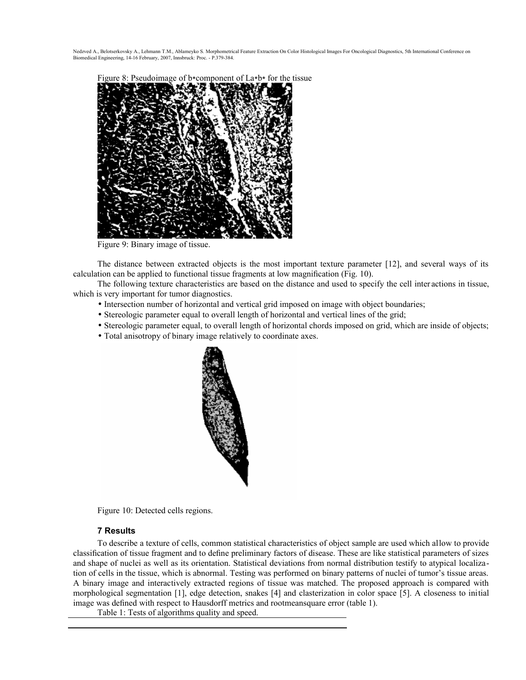

Figure 9: Binary image of tissue.

The distance between extracted objects is the most important texture parameter [12], and several ways of its calculation can be applied to functional tissue fragments at low magnification (Fig. 10).

The following texture characteristics are based on the distance and used to specify the cell inter actions in tissue, which is very important for tumor diagnostics.

- Intersection number of horizontal and vertical grid imposed on image with object boundaries;
- Stereologic parameter equal to overall length of horizontal and vertical lines of the grid;
- Stereologic parameter equal, to overall length of horizontal chords imposed on grid, which are inside of objects;
- Total anisotropy of binary image relatively to coordinate axes.



Figure 10: Detected cells regions.

# **7 Results**

To describe a texture of cells, common statistical characteristics of object sample are used which allow to provide classification of tissue fragment and to define preliminary factors of disease. These are like statistical parameters of sizes and shape of nuclei as well as its orientation. Statistical deviations from normal distribution testify to atypical localization of cells in the tissue, which is abnormal. Testing was performed on binary patterns of nuclei of tumor's tissue areas. A binary image and interactively extracted regions of tissue was matched. The proposed approach is compared with morphological segmentation [1], edge detection, snakes [4] and clasterization in color space [5]. A closeness to initial image was defined with respect to Hausdorff metrics and rootmeansquare error (table 1).

Table 1: Tests of algorithms quality and speed.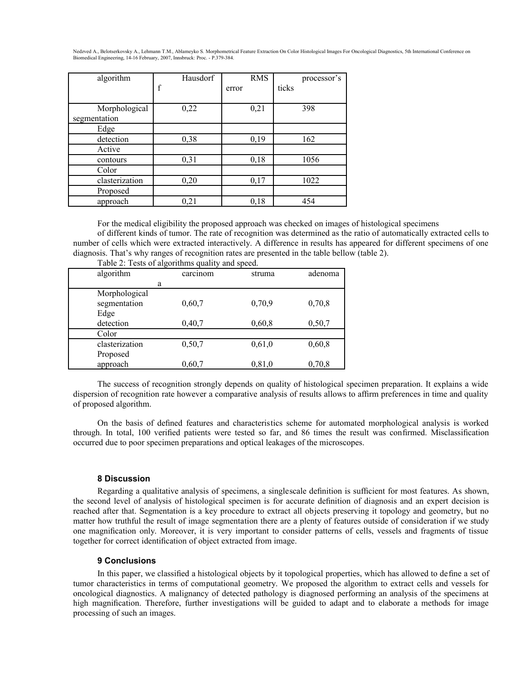| algorithm      | Hausdorf    | <b>RMS</b> | processor's |
|----------------|-------------|------------|-------------|
|                | $\mathbf f$ | error      | ticks       |
|                |             |            |             |
| Morphological  | 0,22        | 0,21       | 398         |
| segmentation   |             |            |             |
| Edge           |             |            |             |
| detection      | 0,38        | 0,19       | 162         |
| Active         |             |            |             |
| contours       | 0,31        | 0,18       | 1056        |
| Color          |             |            |             |
| clasterization | 0,20        | 0,17       | 1022        |
| Proposed       |             |            |             |
| approach       | 0,21        | 0,18       | 454         |

For the medical eligibility the proposed approach was checked on images of histological specimens

of different kinds of tumor. The rate of recognition was determined as the ratio of automatically extracted cells to number of cells which were extracted interactively. A difference in results has appeared for different specimens of one diagnosis. That's why ranges of recognition rates are presented in the table bellow (table 2).

| algorithm                     | carcinom | struma | adenoma |
|-------------------------------|----------|--------|---------|
| a                             |          |        |         |
| Morphological<br>segmentation | 0,60,7   | 0,70,9 | 0,70,8  |
| Edge                          |          |        |         |
| detection                     | 0,40,7   | 0,60,8 | 0,50,7  |
| Color                         |          |        |         |
| clasterization                | 0,50,7   | 0,61,0 | 0,60,8  |
| Proposed                      |          |        |         |
| approach                      | 0,60,7   | 0,81,0 | 0,70,8  |

Table 2: Tests of algorithms quality and speed.

The success of recognition strongly depends on quality of histological specimen preparation. It explains a wide dispersion of recognition rate however a comparative analysis of results allows to affirm preferences in time and quality of proposed algorithm.

On the basis of defined features and characteristics scheme for automated morphological analysis is worked through. In total, 100 verified patients were tested so far, and 86 times the result was confirmed. Misclassification occurred due to poor specimen preparations and optical leakages of the microscopes.

### **8 Discussion**

Regarding a qualitative analysis of specimens, a singlescale definition is sufficient for most features. As shown, the second level of analysis of histological specimen is for accurate definition of diagnosis and an expert decision is reached after that. Segmentation is a key procedure to extract all objects preserving it topology and geometry, but no matter how truthful the result of image segmentation there are a plenty of features outside of consideration if we study one magnification only. Moreover, it is very important to consider patterns of cells, vessels and fragments of tissue together for correct identification of object extracted from image.

## **9 Conclusions**

In this paper, we classified a histological objects by it topological properties, which has allowed to define a set of tumor characteristics in terms of computational geometry. We proposed the algorithm to extract cells and vessels for oncological diagnostics. A malignancy of detected pathology is diagnosed performing an analysis of the specimens at high magnification. Therefore, further investigations will be guided to adapt and to elaborate a methods for image processing of such an images.